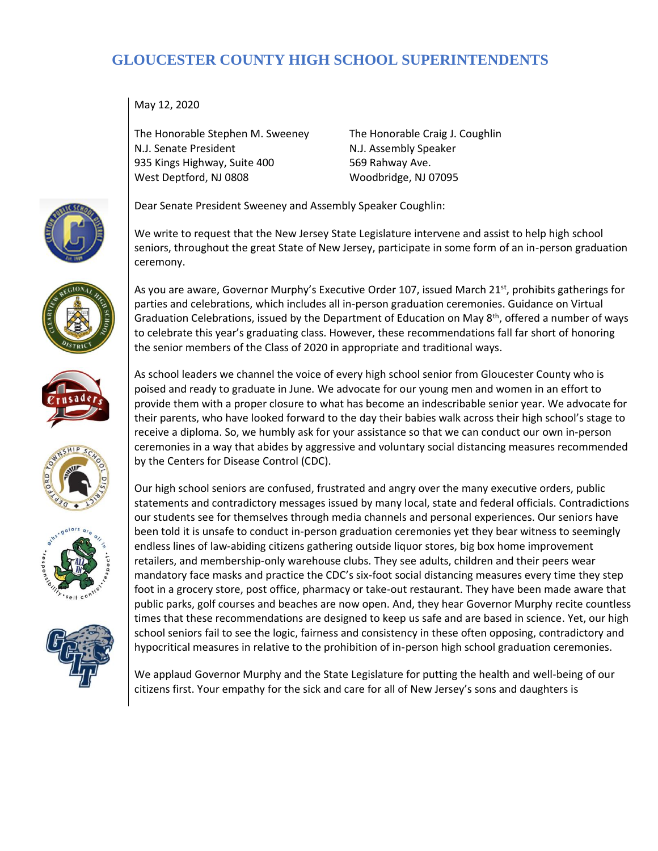## **GLOUCESTER COUNTY HIGH SCHOOL SUPERINTENDENTS**

May 12, 2020

The Honorable Stephen M. Sweeney N.J. Senate President 935 Kings Highway, Suite 400 West Deptford, NJ 0808

The Honorable Craig J. Coughlin N.J. Assembly Speaker 569 Rahway Ave. Woodbridge, NJ 07095

Dear Senate President Sweeney and Assembly Speaker Coughlin:

We write to request that the New Jersey State Legislature intervene and assist to help high school seniors, throughout the great State of New Jersey, participate in some form of an in-person graduation ceremony.

As you are aware, Governor Murphy's Executive Order 107, issued March 21<sup>st</sup>, prohibits gatherings for parties and celebrations, which includes all in-person graduation ceremonies. Guidance on Virtual Graduation Celebrations, issued by the Department of Education on May  $8<sup>th</sup>$ , offered a number of ways to celebrate this year's graduating class. However, these recommendations fall far short of honoring the senior members of the Class of 2020 in appropriate and traditional ways.

As school leaders we channel the voice of every high school senior from Gloucester County who is poised and ready to graduate in June. We advocate for our young men and women in an effort to provide them with a proper closure to what has become an indescribable senior year. We advocate for their parents, who have looked forward to the day their babies walk across their high school's stage to receive a diploma. So, we humbly ask for your assistance so that we can conduct our own in-person ceremonies in a way that abides by aggressive and voluntary social distancing measures recommended by the Centers for Disease Control (CDC).

Our high school seniors are confused, frustrated and angry over the many executive orders, public statements and contradictory messages issued by many local, state and federal officials. Contradictions our students see for themselves through media channels and personal experiences. Our seniors have been told it is unsafe to conduct in-person graduation ceremonies yet they bear witness to seemingly endless lines of law-abiding citizens gathering outside liquor stores, big box home improvement retailers, and membership-only warehouse clubs. They see adults, children and their peers wear mandatory face masks and practice the CDC's six-foot social distancing measures every time they step foot in a grocery store, post office, pharmacy or take-out restaurant. They have been made aware that public parks, golf courses and beaches are now open. And, they hear Governor Murphy recite countless times that these recommendations are designed to keep us safe and are based in science. Yet, our high school seniors fail to see the logic, fairness and consistency in these often opposing, contradictory and hypocritical measures in relative to the prohibition of in-person high school graduation ceremonies.

We applaud Governor Murphy and the State Legislature for putting the health and well-being of our citizens first. Your empathy for the sick and care for all of New Jersey's sons and daughters is